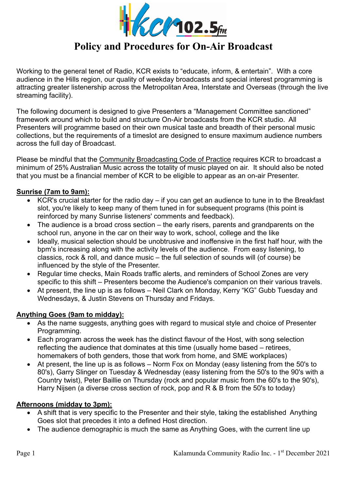

Working to the general tenet of Radio, KCR exists to "educate, inform, & entertain". With a core audience in the Hills region, our quality of weekday broadcasts and special interest programming is attracting greater listenership across the Metropolitan Area, Interstate and Overseas (through the live streaming facility).

The following document is designed to give Presenters a "Management Committee sanctioned" framework around which to build and structure On-Air broadcasts from the KCR studio. All Presenters will programme based on their own musical taste and breadth of their personal music collections, but the requirements of a timeslot are designed to ensure maximum audience numbers across the full day of Broadcast.

Please be mindful that the Community Broadcasting Code of Practice requires KCR to broadcast a minimum of 25% Australian Music across the totality of music played on air. It should also be noted that you must be a financial member of KCR to be eligible to appear as an on-air Presenter.

# **Sunrise (7am to 9am):**

- KCR's crucial starter for the radio day if you can get an audience to tune in to the Breakfast slot, you're likely to keep many of them tuned in for subsequent programs (this point is reinforced by many Sunrise listeners' comments and feedback).
- The audience is a broad cross section the early risers, parents and grandparents on the school run, anyone in the car on their way to work, school, college and the like
- Ideally, musical selection should be unobtrusive and inoffensive in the first half hour, with the bpm's increasing along with the activity levels of the audience. From easy listening, to classics, rock & roll, and dance music – the full selection of sounds will (of course) be influenced by the style of the Presenter.
- Regular time checks, Main Roads traffic alerts, and reminders of School Zones are very specific to this shift – Presenters become the Audience's companion on their various travels.
- At present, the line up is as follows Neil Clark on Monday, Kerry "KG" Gubb Tuesday and Wednesdays, & Justin Stevens on Thursday and Fridays.

# **Anything Goes (9am to midday):**

- As the name suggests, anything goes with regard to musical style and choice of Presenter Programming.
- Each program across the week has the distinct flavour of the Host, with song selection reflecting the audience that dominates at this time (usually home based – retirees, homemakers of both genders, those that work from home, and SME workplaces)
- At present, the line up is as follows Norm Fox on Monday (easy listening from the 50's to 80's), Garry Slinger on Tuesday & Wednesday (easy listening from the 50's to the 90's with a Country twist), Peter Baillie on Thursday (rock and popular music from the 60's to the 90's), Harry Nijsen (a diverse cross section of rock, pop and R & B from the 50's to today)

#### **Afternoons (midday to 3pm):**

- A shift that is very specific to the Presenter and their style, taking the established Anything Goes slot that precedes it into a defined Host direction.
- The audience demographic is much the same as Anything Goes, with the current line up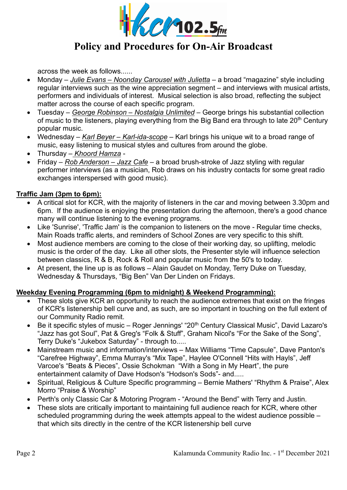

across the week as follows......

- Monday *Julie Evans Noonday Carousel with Julietta* a broad "magazine" style including regular interviews such as the wine appreciation segment – and interviews with musical artists, performers and individuals of interest. Musical selection is also broad, reflecting the subject matter across the course of each specific program.
- Tuesday *George Robinson Nostalgia Unlimited* George brings his substantial collection of music to the listeners, playing everything from the Big Band era through to late 20<sup>th</sup> Century popular music.
- Wednesday *Karl Beyer Karl-ida-scope* Karl brings his unique wit to a broad range of music, easy listening to musical styles and cultures from around the globe.
- Thursday – *Khoord Hamza* -
- Friday *Rob Anderson Jazz Cafe* a broad brush-stroke of Jazz styling with regular performer interviews (as a musician, Rob draws on his industry contacts for some great radio exchanges interspersed with good music).

# **Traffic Jam (3pm to 6pm):**

- A critical slot for KCR, with the majority of listeners in the car and moving between 3.30pm and 6pm. If the audience is enjoying the presentation during the afternoon, there's a good chance many will continue listening to the evening programs.
- Like 'Sunrise', 'Traffic Jam' is the companion to listeners on the move Regular time checks, Main Roads traffic alerts, and reminders of School Zones are very specific to this shift.
- Most audience members are coming to the close of their working day, so uplifting, melodic music is the order of the day. Like all other slots, the Presenter style will influence selection between classics, R & B, Rock & Roll and popular music from the 50's to today.
- At present, the line up is as follows Alain Gaudet on Monday, Terry Duke on Tuesday, Wednesday & Thursdays, "Big Ben" Van Der Linden on Fridays.

# **Weekday Evening Programming (6pm to midnight) & Weekend Programming):**

- These slots give KCR an opportunity to reach the audience extremes that exist on the fringes of KCR's listenership bell curve and, as such, are so important in touching on the full extent of our Community Radio remit.
- Be it specific styles of music Roger Jennings' "20<sup>th</sup> Century Classical Music", David Lazaro's "Jazz has got Soul", Pat & Greg's "Folk & Stuff", Graham Nicol's "For the Sake of the Song", Terry Duke's "Jukebox Saturday" - through to.....
- Mainstream music and information/interviews Max Williams "Time Capsule", Dave Panton's "Carefree Highway", Emma Murray's "Mix Tape", Haylee O'Connell "Hits with Hayls", Jeff Varcoe's "Beats & Pieces", Ossie Schokman "With a Song in My Heart", the pure entertainment calamity of Dave Hodson's "Hodson's Sods"- and.....
- Spiritual, Religious & Culture Specific programming Bernie Mathers' "Rhythm & Praise", Alex Morro "Praise & Worship"
- Perth's only Classic Car & Motoring Program "Around the Bend" with Terry and Justin.
- These slots are critically important to maintaining full audience reach for KCR, where other scheduled programming during the week attempts appeal to the widest audience possible – that which sits directly in the centre of the KCR listenership bell curve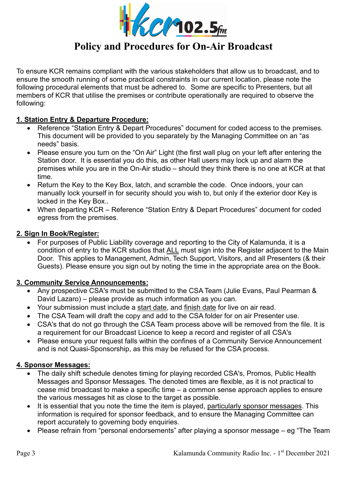

To ensure KCR remains compliant with the various stakeholders that allow us to broadcast, and to ensure the smooth running of some practical constraints in our current location, please note the following procedural elements that must be adhered to. Some are specific to Presenters, but all members of KCR that utilise the premises or contribute operationally are required to observe the following:

# **1. Station Entry & Departure Procedure:**

- Reference "Station Entry & Depart Procedures" document for coded access to the premises. This document will be provided to you separately by the Managing Committee on an "as needs" basis.
- Please ensure you turn on the "On Air" Light (the first wall plug on your left after entering the Station door. It is essential you do this, as other Hall users may lock up and alarm the premises while you are in the On-Air studio – should they think there is no one at KCR at that time.
- Return the Key to the Key Box, latch, and scramble the code. Once indoors, your can manually lock yourself in for security should you wish to, but only if the exterior door Key is locked in the Key Box..
- When departing KCR Reference "Station Entry & Depart Procedures" document for coded egress from the premises.

# **2. Sign In Book/Register:**

 For purposes of Public Liability coverage and reporting to the City of Kalamunda, it is a condition of entry to the KCR studios that ALL must sign into the Register adjacent to the Main Door. This applies to Management, Admin, Tech Support, Visitors, and all Presenters (& their Guests). Please ensure you sign out by noting the time in the appropriate area on the Book.

# **3. Community Service Announcements:**

- Any prospective CSA's must be submitted to the CSA Team (Julie Evans, Paul Pearman & David Lazaro) – please provide as much information as you can.
- Your submission must include a start date, and finish date for live on air read.
- The CSA Team will draft the copy and add to the CSA folder for on air Presenter use.
- CSA's that do not go through the CSA Team process above will be removed from the file. It is a requirement for our Broadcast Licence to keep a record and register of all CSA's
- Please ensure your request falls within the confines of a Community Service Announcement and is not Quasi-Sponsorship, as this may be refused for the CSA process.

# **4. Sponsor Messages:**

- The daily shift schedule denotes timing for playing recorded CSA's, Promos, Public Health Messages and Sponsor Messages. The denoted times are flexible, as it is not practical to cease mid broadcast to make a specific time – a common sense approach applies to ensure the various messages hit as close to the target as possible.
- It is essential that you note the time the item is played, particularly sponsor messages. This information is required for sponsor feedback, and to ensure the Managing Committee can report accurately to governing body enquiries.
- Please refrain from "personal endorsements" after playing a sponsor message eg "The Team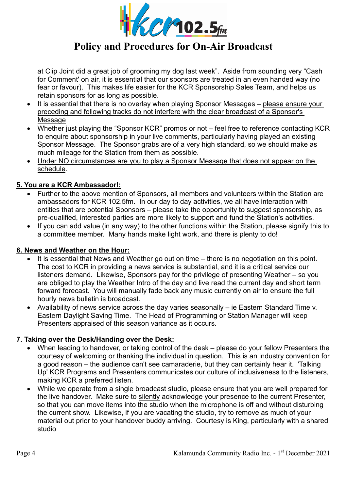

at Clip Joint did a great job of grooming my dog last week". Aside from sounding very "Cash for Comment' on air, it is essential that our sponsors are treated in an even handed way (no fear or favour). This makes life easier for the KCR Sponsorship Sales Team, and helps us retain sponsors for as long as possible.

- It is essential that there is no overlay when playing Sponsor Messages please ensure your preceding and following tracks do not interfere with the clear broadcast of a Sponsor's **Message**
- Whether just playing the "Sponsor KCR" promos or not feel free to reference contacting KCR to enquire about sponsorship in your live comments, particularly having played an existing Sponsor Message. The Sponsor grabs are of a very high standard, so we should make as much mileage for the Station from them as possible.
- Under NO circumstances are you to play a Sponsor Message that does not appear on the schedule.

# **5. You are a KCR Ambassador!:**

- Further to the above mention of Sponsors, all members and volunteers within the Station are ambassadors for KCR 102.5fm. In our day to day activities, we all have interaction with entities that are potential Sponsors – please take the opportunity to suggest sponsorship, as pre-qualified, interested parties are more likely to support and fund the Station's activities.
- If you can add value (in any way) to the other functions within the Station, please signify this to a committee member. Many hands make light work, and there is plenty to do!

# **6. News and Weather on the Hour:**

- It is essential that News and Weather go out on time there is no negotiation on this point. The cost to KCR in providing a news service is substantial, and it is a critical service our listeners demand. Likewise, Sponsors pay for the privilege of presenting Weather – so you are obliged to play the Weather Intro of the day and live read the current day and short term forward forecast. You will manually fade back any music currently on air to ensure the full hourly news bulletin is broadcast.
- Availability of news service across the day varies seasonally ie Eastern Standard Time v. Eastern Daylight Saving Time. The Head of Programming or Station Manager will keep Presenters appraised of this season variance as it occurs.

# **7. Taking over the Desk/Handing over the Desk:**

- When leading to handover, or taking control of the desk please do your fellow Presenters the courtesy of welcoming or thanking the individual in question. This is an industry convention for a good reason – the audience can't see camaraderie, but they can certainly hear it. 'Talking Up' KCR Programs and Presenters communicates our culture of inclusiveness to the listeners, making KCR a preferred listen.
- While we operate from a single broadcast studio, please ensure that you are well prepared for the live handover. Make sure to silently acknowledge your presence to the current Presenter, so that you can move items into the studio when the microphone is off and without disturbing the current show. Likewise, if you are vacating the studio, try to remove as much of your material out prior to your handover buddy arriving. Courtesy is King, particularly with a shared studio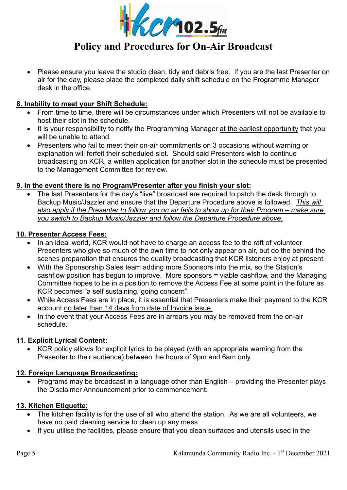

• Please ensure you leave the studio clean, tidy and debris free. If you are the last Presenter on air for the day, please place the completed daily shift schedule on the Programme Manager desk in the office.

# **8. Inability to meet your Shift Schedule:**

- From time to time, there will be circumstances under which Presenters will not be available to host their slot in the schedule.
- It is your responsibility to notify the Programming Manager at the earliest opportunity that you will be unable to attend.
- Presenters who fail to meet their on-air commitments on 3 occasions without warning or explanation will forfeit their scheduled slot. Should said Presenters wish to continue broadcasting on KCR, a written application for another slot in the schedule must be presented to the Management Committee for review.

# **9. In the event there is no Program/Presenter after you finish your slot:**

 The last Presenters for the day's "live" broadcast are required to patch the desk through to Backup Music/Jazzler and ensure that the Departure Procedure above is followed. *This will also apply if the Presenter to follow you on air fails to show up for their Program – make sure you switch to Backup Music/Jazzler and follow the Departure Procedure above.* 

# **10. Presenter Access Fees:**

- In an ideal world, KCR would not have to charge an access fee to the raft of volunteer Presenters who give so much of the own time to not only appear on air, but do the behind the scenes preparation that ensures the quality broadcasting that KCR listeners enjoy at present.
- With the Sponsorship Sales team adding more Sponsors into the mix, so the Station's cashflow position has begun to improve. More sponsors = viable cashflow, and the Managing Committee hopes to be in a position to remove the Access Fee at some point in the future as KCR becomes "a self sustaining, going concern".
- While Access Fees are in place, it is essential that Presenters make their payment to the KCR account no later than 14 days from date of Invoice issue.
- In the event that your Access Fees are in arrears you may be removed from the on-air schedule.

# **11. Explicit Lyrical Content:**

• KCR policy allows for explicit lyrics to be played (with an appropriate warning from the Presenter to their audience) between the hours of 9pm and 6am only.

# **12. Foreign Language Broadcasting:**

 Programs may be broadcast in a language other than English – providing the Presenter plays the Disclaimer Announcement prior to commencement.

# **13. Kitchen Etiquette:**

- The kitchen facility is for the use of all who attend the station. As we are all volunteers, we have no paid cleaning service to clean up any mess.
- If you utilise the facilities, please ensure that you clean surfaces and utensils used in the